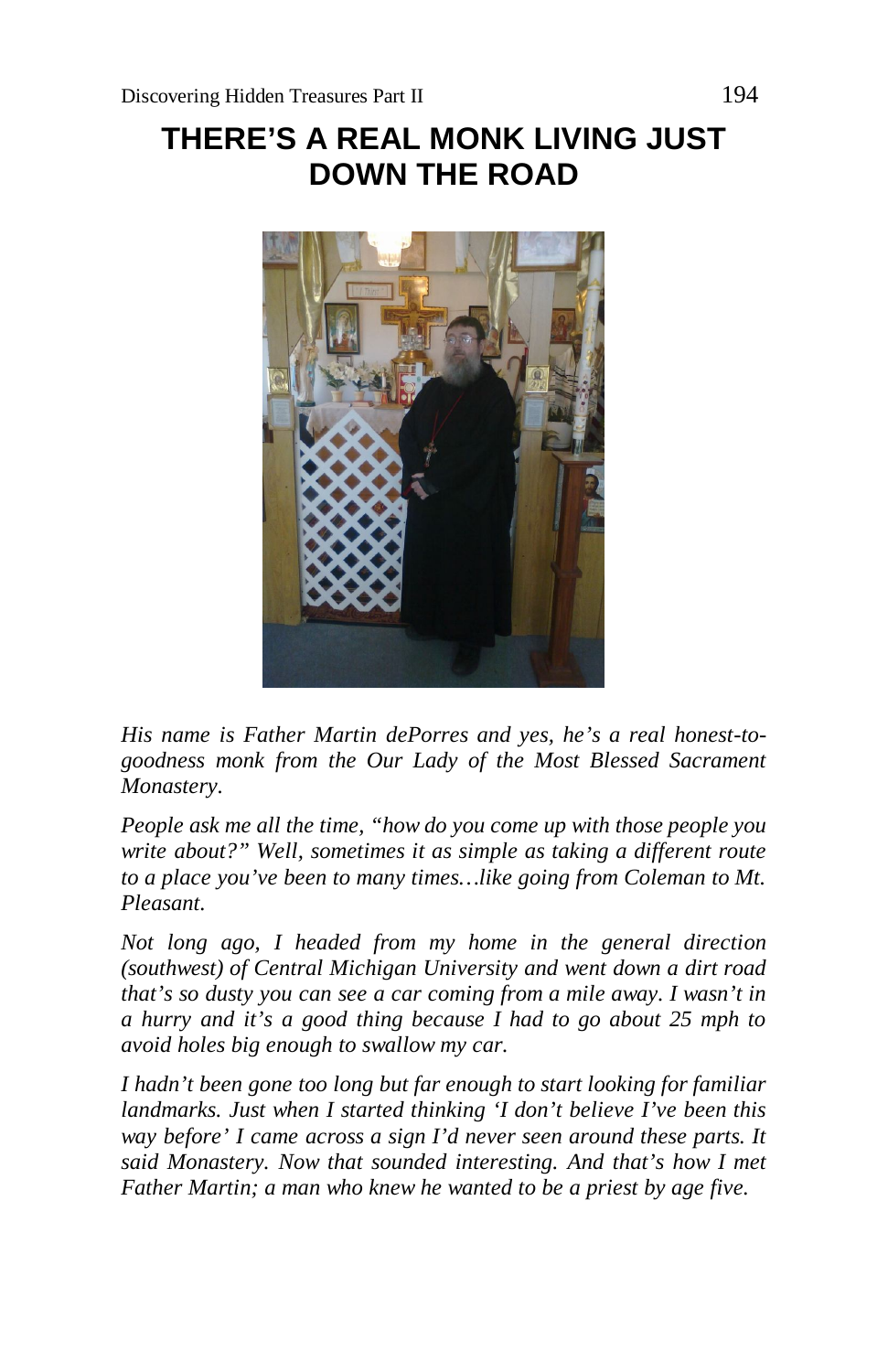# **THERE'S A REAL MONK LIVING JUST DOWN THE ROAD**



*His name is Father Martin dePorres and yes, he's a real honest-togoodness monk from the Our Lady of the Most Blessed Sacrament Monastery.*

*People ask me all the time, "how do you come up with those people you write about?" Well, sometimes it as simple as taking a different route to a place you've been to many times…like going from Coleman to Mt. Pleasant.*

*Not long ago, I headed from my home in the general direction (southwest) of Central Michigan University and went down a dirt road that's so dusty you can see a car coming from a mile away. I wasn't in a hurry and it's a good thing because I had to go about 25 mph to avoid holes big enough to swallow my car.*

*I hadn't been gone too long but far enough to start looking for familiar landmarks. Just when I started thinking 'I don't believe I've been this way before' I came across a sign I'd never seen around these parts. It said Monastery. Now that sounded interesting. And that's how I met Father Martin; a man who knew he wanted to be a priest by age five.*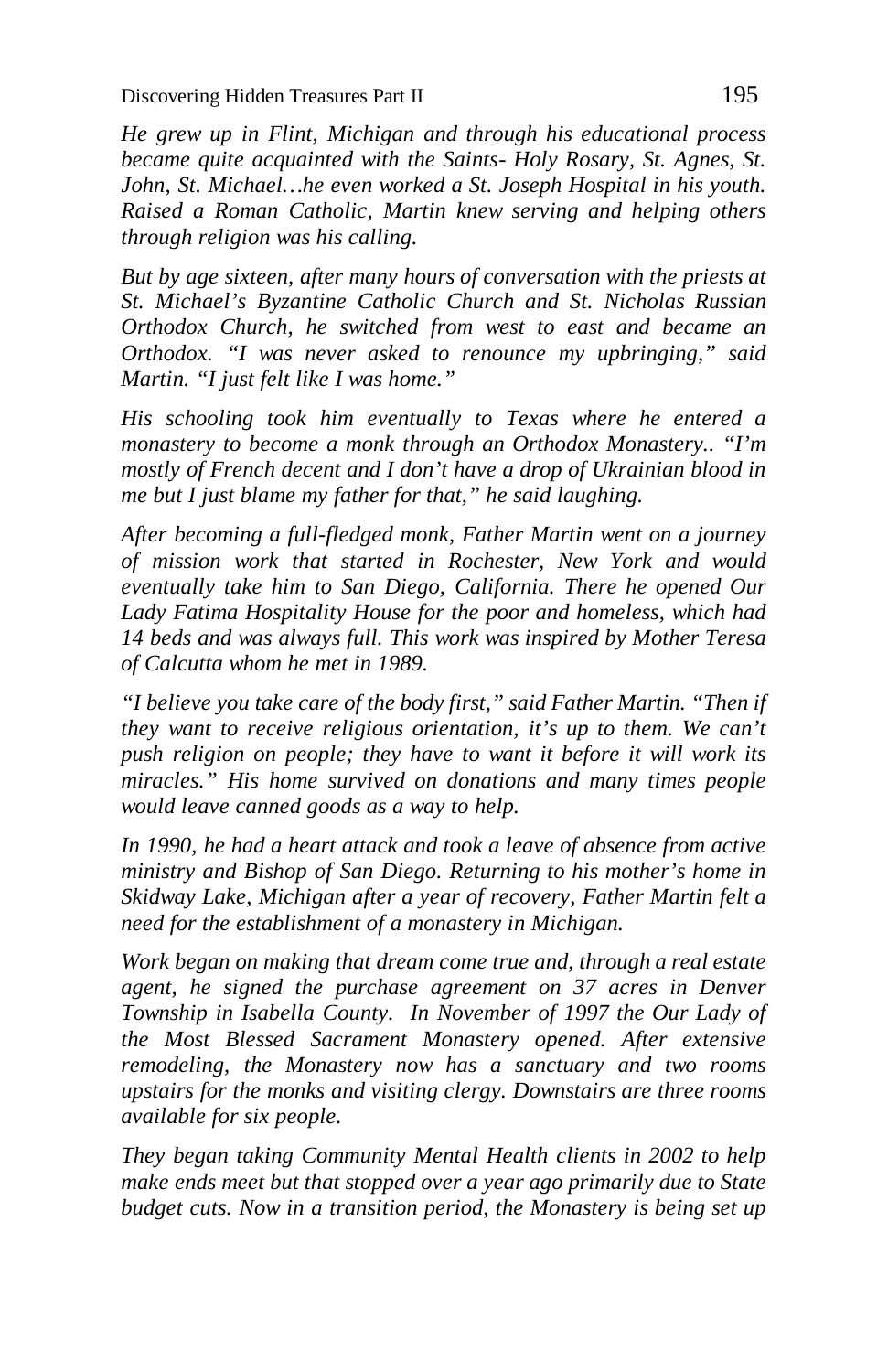Discovering Hidden Treasures Part II 195

*He grew up in Flint, Michigan and through his educational process became quite acquainted with the Saints- Holy Rosary, St. Agnes, St. John, St. Michael…he even worked a St. Joseph Hospital in his youth. Raised a Roman Catholic, Martin knew serving and helping others through religion was his calling.*

*But by age sixteen, after many hours of conversation with the priests at St. Michael's Byzantine Catholic Church and St. Nicholas Russian Orthodox Church, he switched from west to east and became an Orthodox. "I was never asked to renounce my upbringing," said Martin. "I just felt like I was home."*

*His schooling took him eventually to Texas where he entered a monastery to become a monk through an Orthodox Monastery.. "I'm mostly of French decent and I don't have a drop of Ukrainian blood in me but I just blame my father for that," he said laughing.*

*After becoming a full-fledged monk, Father Martin went on a journey of mission work that started in Rochester, New York and would eventually take him to San Diego, California. There he opened Our Lady Fatima Hospitality House for the poor and homeless, which had 14 beds and was always full. This work was inspired by Mother Teresa of Calcutta whom he met in 1989.*

*"I believe you take care of the body first," said Father Martin. "Then if they want to receive religious orientation, it's up to them. We can't push religion on people; they have to want it before it will work its miracles." His home survived on donations and many times people would leave canned goods as a way to help.*

*In 1990, he had a heart attack and took a leave of absence from active ministry and Bishop of San Diego. Returning to his mother's home in Skidway Lake, Michigan after a year of recovery, Father Martin felt a need for the establishment of a monastery in Michigan.*

*Work began on making that dream come true and, through a real estate agent, he signed the purchase agreement on 37 acres in Denver Township in Isabella County. In November of 1997 the Our Lady of the Most Blessed Sacrament Monastery opened. After extensive remodeling, the Monastery now has a sanctuary and two rooms upstairs for the monks and visiting clergy. Downstairs are three rooms available for six people.*

*They began taking Community Mental Health clients in 2002 to help make ends meet but that stopped over a year ago primarily due to State budget cuts. Now in a transition period, the Monastery is being set up*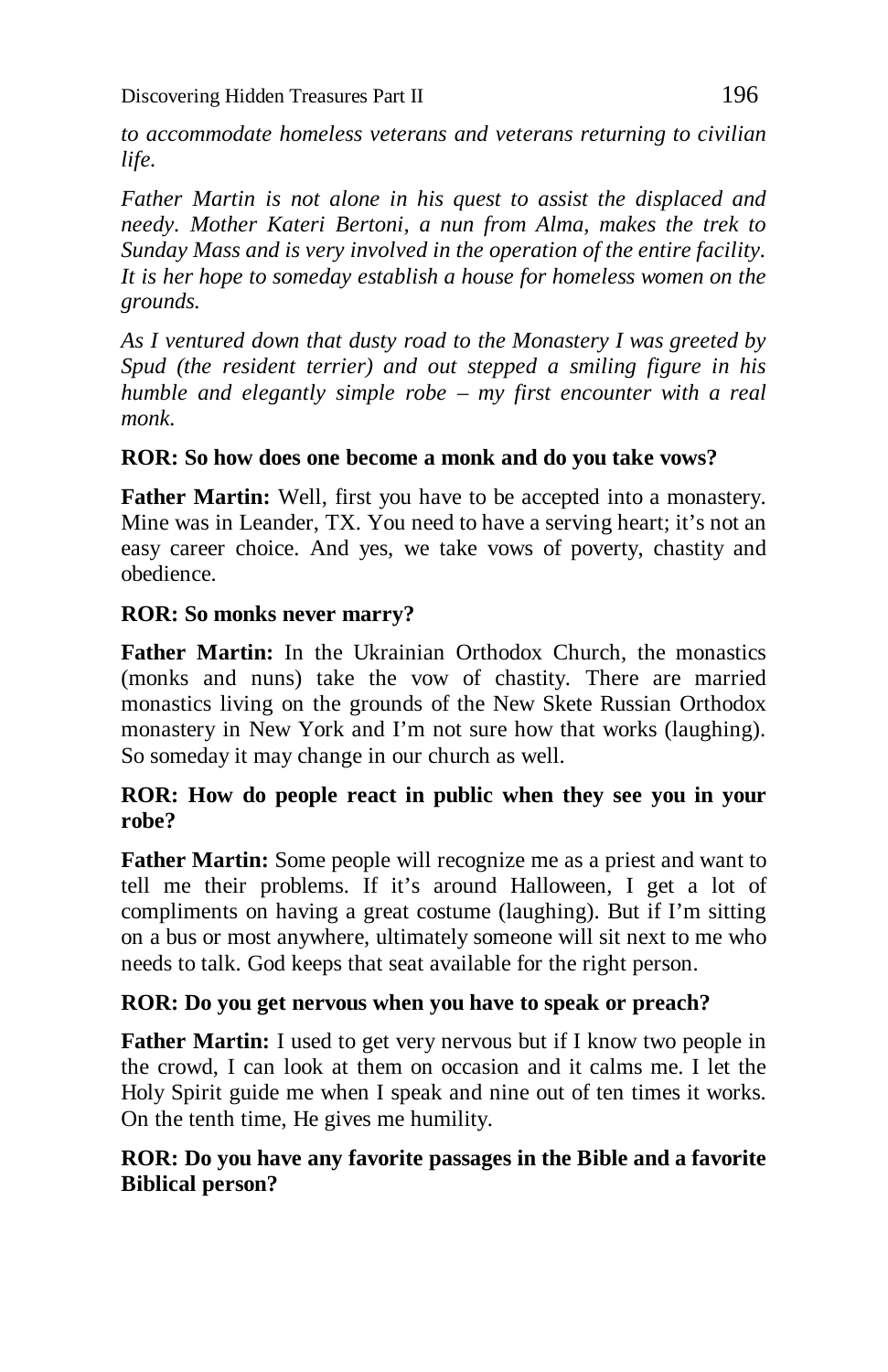*to accommodate homeless veterans and veterans returning to civilian life.*

*Father Martin is not alone in his quest to assist the displaced and needy. Mother Kateri Bertoni, a nun from Alma, makes the trek to Sunday Mass and is very involved in the operation of the entire facility. It is her hope to someday establish a house for homeless women on the grounds.*

*As I ventured down that dusty road to the Monastery I was greeted by Spud (the resident terrier) and out stepped a smiling figure in his humble and elegantly simple robe – my first encounter with a real monk.*

## **ROR: So how does one become a monk and do you take vows?**

**Father Martin:** Well, first you have to be accepted into a monastery. Mine was in Leander, TX. You need to have a serving heart; it's not an easy career choice. And yes, we take vows of poverty, chastity and obedience.

## **ROR: So monks never marry?**

**Father Martin:** In the Ukrainian Orthodox Church, the monastics (monks and nuns) take the vow of chastity. There are married monastics living on the grounds of the New Skete Russian Orthodox monastery in New York and I'm not sure how that works (laughing). So someday it may change in our church as well.

## **ROR: How do people react in public when they see you in your robe?**

**Father Martin:** Some people will recognize me as a priest and want to tell me their problems. If it's around Halloween, I get a lot of compliments on having a great costume (laughing). But if I'm sitting on a bus or most anywhere, ultimately someone will sit next to me who needs to talk. God keeps that seat available for the right person.

## **ROR: Do you get nervous when you have to speak or preach?**

**Father Martin:** I used to get very nervous but if I know two people in the crowd, I can look at them on occasion and it calms me. I let the Holy Spirit guide me when I speak and nine out of ten times it works. On the tenth time, He gives me humility.

## **ROR: Do you have any favorite passages in the Bible and a favorite Biblical person?**